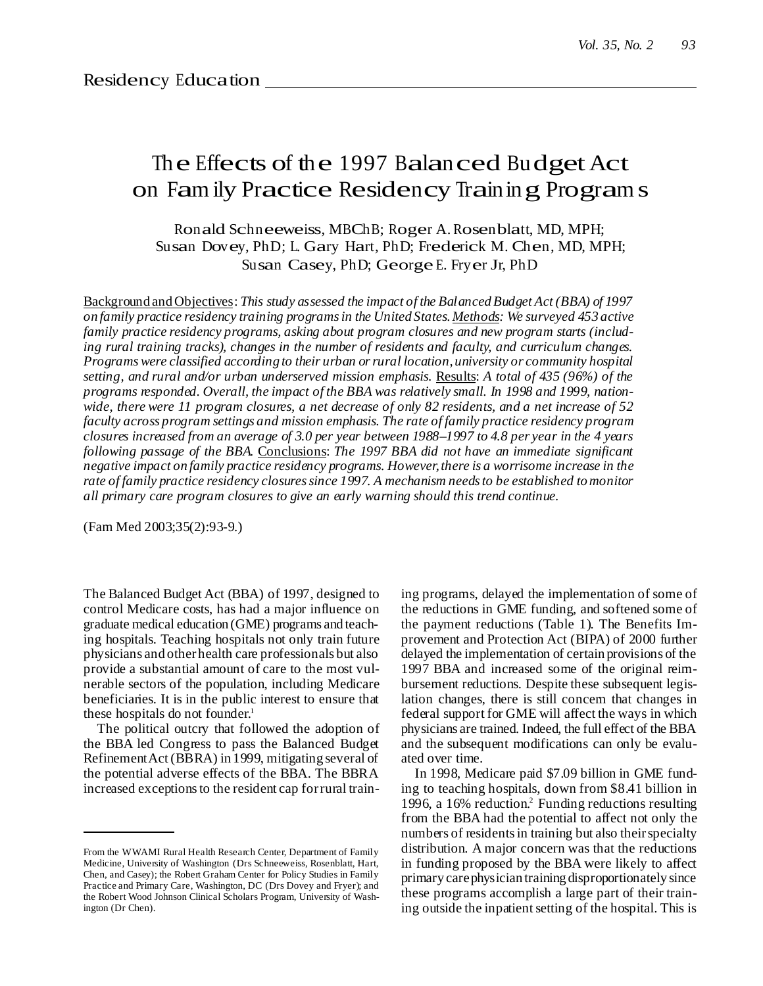# The Effects of the 1997 Balanced Budget Act on Fam ily Practice Residency Training Program s

Ronald Schneeweiss, MBChB; Roger A. Rosenblatt, MD, MPH; Susan Dovey, PhD; L. Gary Hart, PhD; Frederick M. Chen, MD, MPH; Susan Casey, PhD; GeorgeE. Fryer Jr, PhD

Background andObjectives: *This study assessed the impact of the BalancedBudget Act (BBA) of 1997 on family practice residency training programsin the United States.Methods: We surveyed 453 active family practice residency programs, asking about program closures and new program starts (including rural training tracks), changes in the number of residents and faculty, and curriculum changes. Programswere classified according to their urban orrural location,university or community hospital setting, and rural and/or urban underserved mission emphasis.* Results: *A total of 435 (96%) of the programs responded. Overall, the impact of the BBA was relatively small. In 1998 and 1999, nation*wide, there were 11 program closures, a net decrease of only 82 residents, and a net increase of 52 *faculty across program settings and mission emphasis. The rate of family practice residency program* closures increased from an average of 3.0 per year between 1988–1997 to 4.8 per year in the 4 years *following passage of the BBA.* Conclusions: *The 1997 BBA did not have an immediate significant negative impact on family practice residency programs. However,there is a worrisome increase in the rate of family practice residency closuressince 1997. A mechanism needsto be established tomonitor all primary care program closures to give an early warning should this trend continue.*

(Fam Med 2003;35(2):93-9.)

The Balanced Budget Act (BBA) of 1997, designed to control Medicare costs, has had a major influence on graduate medical education (GME) programs and teaching hospitals. Teaching hospitals not only train future physicians and otherhealth care professionals but also provide a substantial amount of care to the most vulnerable sectors of the population, including Medicare beneficiaries. It is in the public interest to ensure that these hospitals do not founder. 1

The political outcry that followed the adoption of the BBA led Congress to pass the Balanced Budget RefinementAct (BBRA) in 1999, mitigating several of the potential adverse effects of the BBA. The BBRA increased exceptions to the resident cap for rural train-

ing programs, delayed the implementation of some of the reductions in GME funding, and softened some of the payment reductions (Table 1). The Benefits Improvement and Protection Act (BIPA) of 2000 further delayed the implementation of certain provisions of the 1997 BBA and increased some of the original reimbursement reductions. Despite these subsequent legislation changes, there is still concern that changes in federal support for GME will affect the ways in which physicians are trained. Indeed, the full effect of the BBA and the subsequent modifications can only be evaluated over time.

In 1998, Medicare paid \$7.09 billion in GME funding to teaching hospitals, down from \$8.41 billion in 1996, a 16% reduction. <sup>2</sup> Funding reductions resulting from the BBA had the potential to affect not only the numbers of residents in training but also their specialty distribution. A major concern was that the reductions in funding proposed by the BBA were likely to affect primary carephysician training disproportionately since these programs accomplish a large part of their training outside the inpatient setting of the hospital. This is

From the WWAMI Rural Health Research Center, Department of Family Medicine, University of Washington (Drs Schneeweiss, Rosenblatt, Hart, Chen, and Casey); the Robert Graham Center for Policy Studies in Family Practice and Primary Care, Washington, DC (Drs Dovey and Fryer); and the Robert Wood Johnson Clinical Scholars Program, University of Washington (Dr Chen).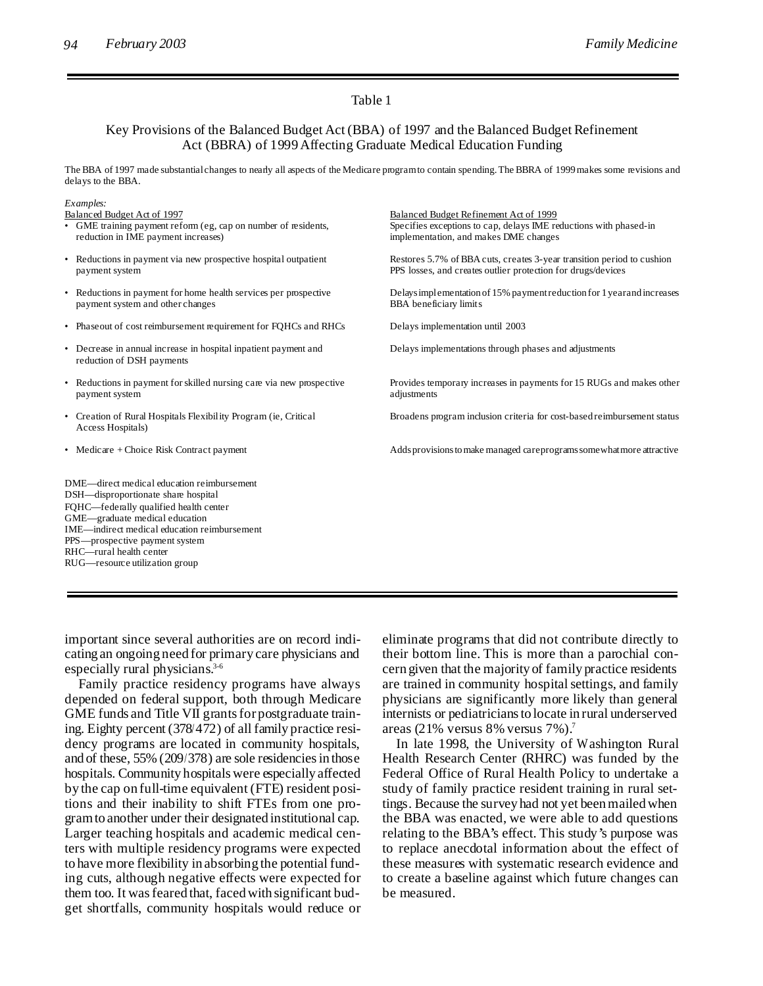#### Table 1

# Key Provisions of the Balanced Budget Act (BBA) of 1997 and the Balanced Budget Refinement Act (BBRA) of 1999Affecting Graduate Medical Education Funding

The BBA of 1997 made substantialchanges to nearly all aspects of the Medicare programto contain spending.The BBRA of 1999makes some revisions and delays to the BBA.

| Examples:                                                                                                                                                                                                                                                                  |                                                                                                                                                      |
|----------------------------------------------------------------------------------------------------------------------------------------------------------------------------------------------------------------------------------------------------------------------------|------------------------------------------------------------------------------------------------------------------------------------------------------|
| Balanced Budget Act of 1997<br>• GME training payment reform (eg, cap on number of residents,<br>reduction in IME payment increases)                                                                                                                                       | Balanced Budget Refinement Act of 1999<br>Specifies exceptions to cap, delays IME reductions with phased-in<br>implementation, and makes DME changes |
| • Reductions in payment via new prospective hospital outpatient<br>payment system                                                                                                                                                                                          | Restores 5.7% of BBA cuts, creates 3-year transition period to cushion<br>PPS losses, and creates outlier protection for drugs/devices               |
| • Reductions in payment for home health services per prospective<br>payment system and other changes                                                                                                                                                                       | Delays implementation of 15% payment reduction for 1 year and increases<br><b>BBA</b> beneficiary limits                                             |
| • Phase out of cost reimbursement requirement for FOHCs and RHCs                                                                                                                                                                                                           | Delays implementation until 2003                                                                                                                     |
| • Decrease in annual increase in hospital inpatient payment and<br>reduction of DSH payments                                                                                                                                                                               | Delays implementations through phases and adjustments                                                                                                |
| • Reductions in payment for skilled nursing care via new prospective<br>payment system                                                                                                                                                                                     | Provides temporary increases in payments for 15 RUGs and makes other<br>adjustments                                                                  |
| • Creation of Rural Hospitals Flexibility Program (ie, Critical<br>Access Hospitals)                                                                                                                                                                                       | Broadens program inclusion criteria for cost-based reimbursement status                                                                              |
| • Medicare + Choice Risk Contract payment                                                                                                                                                                                                                                  | Adds provisions to make managed careprograms some what more attractive                                                                               |
| DME—direct medical education reimbursement<br>DSH-disproportionate share hospital<br>FQHC-federally qualified health center<br>GME-graduate medical education<br>IME—indirect medical education reimbursement<br>PPS—prospective payment system<br>RHC—rural health center |                                                                                                                                                      |

RUG—resource utilization group

important since several authorities are on record indicating an ongoing need for primary care physicians and especially rural physicians. 3-6

Family practice residency programs have always depended on federal support, both through Medicare GME funds and Title VII grants for postgraduate training. Eighty percent (378/472) of all family practice residency programs are located in community hospitals, and of these, 55% (209/378) are sole residencies in those hospitals. Community hospitals were especially affected by the cap on full-time equivalent (FTE) resident positions and their inability to shift FTEs from one programto another under their designated institutional cap. Larger teaching hospitals and academic medical centers with multiple residency programs were expected to have more flexibility in absorbing the potential funding cuts, although negative effects were expected for them too. It was feared that, faced with significant budget shortfalls, community hospitals would reduce or eliminate programs that did not contribute directly to their bottom line. This is more than a parochial concern given that the majority of family practice residents are trained in community hospital settings, and family physicians are significantly more likely than general internists or pediatriciansto locate in rural underserved areas (21% versus 8% versus 7%). 7

In late 1998, the University of Washington Rural Health Research Center (RHRC) was funded by the Federal Office of Rural Health Policy to undertake a study of family practice resident training in rural settings. Because the survey had not yet beenmailedwhen the BBA was enacted, we were able to add questions relating to the BBA's effect. This study's purpose was to replace anecdotal information about the effect of these measures with systematic research evidence and to create a baseline against which future changes can be measured.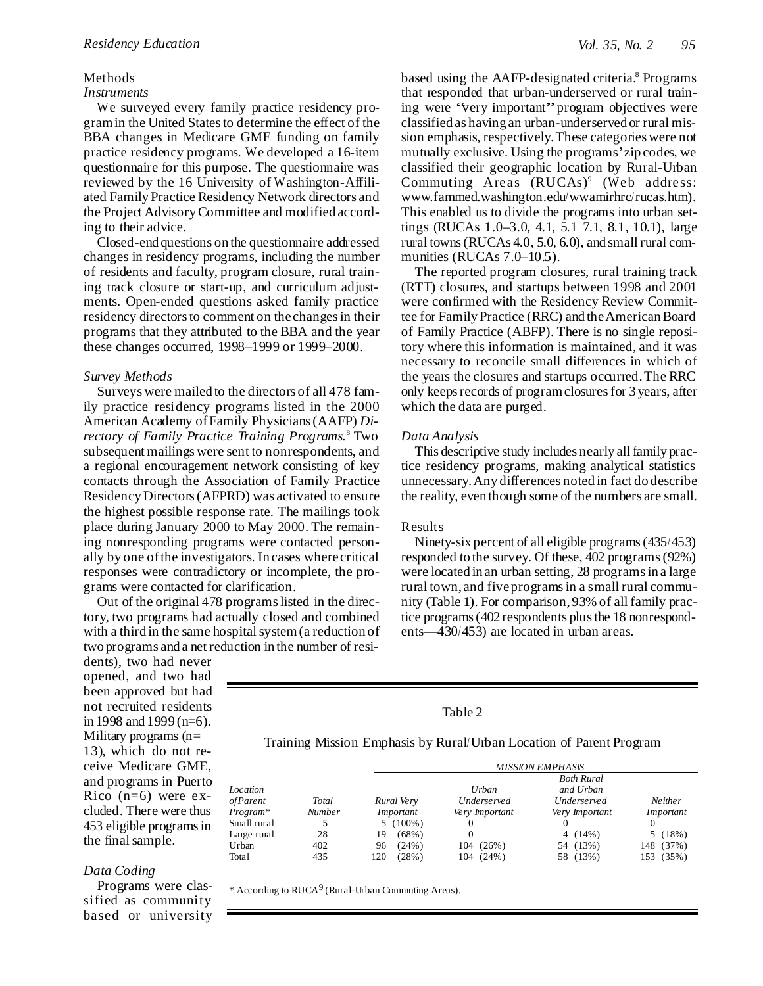#### Methods

#### *Instruments*

We surveyed every family practice residency program in the United States to determine the effect of the BBA changes in Medicare GME funding on family practice residency programs. We developed a 16-item questionnaire for this purpose. The questionnaire was reviewed by the 16 University of Washington-Affiliated Family Practice Residency Network directors and the Project AdvisoryCommittee and modified according to their advice.

Closed-end questions on the questionnaire addressed changes in residency programs, including the number of residents and faculty, program closure, rural training track closure or start-up, and curriculum adjustments. Open-ended questions asked family practice residency directors to comment on the changes in their programs that they attributed to the BBA and the year these changes occurred, 1998–1999 or 1999–2000.

#### *Survey Methods*

Surveys were mailed to the directors of all 478 family practice residency programs listed in the 2000 American Academy ofFamily Physicians(AAFP) *Directory of Family Practice Training Programs.* <sup>8</sup> Two subsequent mailings were sent to nonrespondents, and a regional encouragement network consisting of key contacts through the Association of Family Practice ResidencyDirectors(AFPRD) was activated to ensure the highest possible response rate. The mailings took place during January 2000 to May 2000. The remaining nonresponding programs were contacted personally by one ofthe investigators. In cases wherecritical responses were contradictory or incomplete, the programs were contacted for clarification.

Out of the original 478 programslisted in the directory, two programs had actually closed and combined with a third in the same hospital system (a reduction of two programs and a net reduction in the number of resi-

dents), two had never opened, and two had been approved but had not recruited residents in 1998 and 1999 (n=6). Military programs (n= 13), which do not receive Medicare GME, and programs in Puerto Rico  $(n=6)$  were excluded. There were thus 453 eligible programsin the final sample.

# *Data Coding*

Programs were classified as community based or university

based using the AAFP-designated criteria. <sup>8</sup> Programs that responded that urban-underserved or rural training were "very important"program objectives were classified as having an urban-underserved or rural mission emphasis, respectively.These categories were not mutually exclusive. Using the programs'zip codes, we classified their geographic location by Rural-Urban Commuting Areas (RUCAs)<sup>9</sup> (Web address: www.fammed.washington.edu/wwamirhrc/rucas.htm). This enabled us to divide the programs into urban settings (RUCAs 1.0–3.0, 4.1, 5.1 7.1, 8.1, 10.1), large rural towns(RUCAs 4.0, 5.0, 6.0), and small rural communities (RUCAs 7.0–10.5).

The reported program closures, rural training track (RTT) closures, and startups between 1998 and 2001 were confirmed with the Residency Review Committee for Family Practice (RRC) and the American Board of Family Practice (ABFP). There is no single repository where this information is maintained, and it was necessary to reconcile small differences in which of the years the closures and startups occurred.The RRC only keeps records of program closures for 3 years, after which the data are purged.

### *Data Analysis*

This descriptive study includes nearly all family practice residency programs, making analytical statistics unnecessary.Any differences noted in fact do describe the reality, even though some of the numbers are small.

#### Results

Ninety-six percent of all eligible programs(435/453) responded to the survey. Of these, 402 programs(92%) were located in an urban setting, 28 programsin a large rural town, and fiveprogramsin a small rural community (Table 1). For comparison,93% of all family practice programs(402 respondents plusthe 18 nonrespondents—430/453) are located in urban areas.

Table 2

Training Mission Emphasis by Rural/Urban Location of Parent Program

|                 |               | <b>MISSION EMPHASIS</b> |                       |                       |                |  |  |  |  |  |  |
|-----------------|---------------|-------------------------|-----------------------|-----------------------|----------------|--|--|--|--|--|--|
|                 |               |                         | <b>Both Rural</b>     |                       |                |  |  |  |  |  |  |
| Location        |               |                         | Urban                 | and Urban             |                |  |  |  |  |  |  |
| <i>ofParent</i> | Total         | Rural Very              | Underserved           | <i>Underserved</i>    | <b>Neither</b> |  |  |  |  |  |  |
| $Program*$      | <b>Number</b> | Important               | Very <i>Important</i> | Very <i>Important</i> | Important      |  |  |  |  |  |  |
| Small rural     |               | $5(100\%)$              |                       |                       |                |  |  |  |  |  |  |
| Large rural     | 28            | $(68\%)$<br>19          |                       | $4(14\%)$             | 5(18%)         |  |  |  |  |  |  |
| Urban           | 402           | $(24\%)$<br>96          | 104 (26%)             | 54 (13%)              | 148 (37%)      |  |  |  |  |  |  |
| Total           | 435           | (28%)<br>120            | 104 (24%)             | 58 (13%)              | 153 (35%)      |  |  |  |  |  |  |

\* According to RUCA 9 (Rural-Urban Commuting Areas).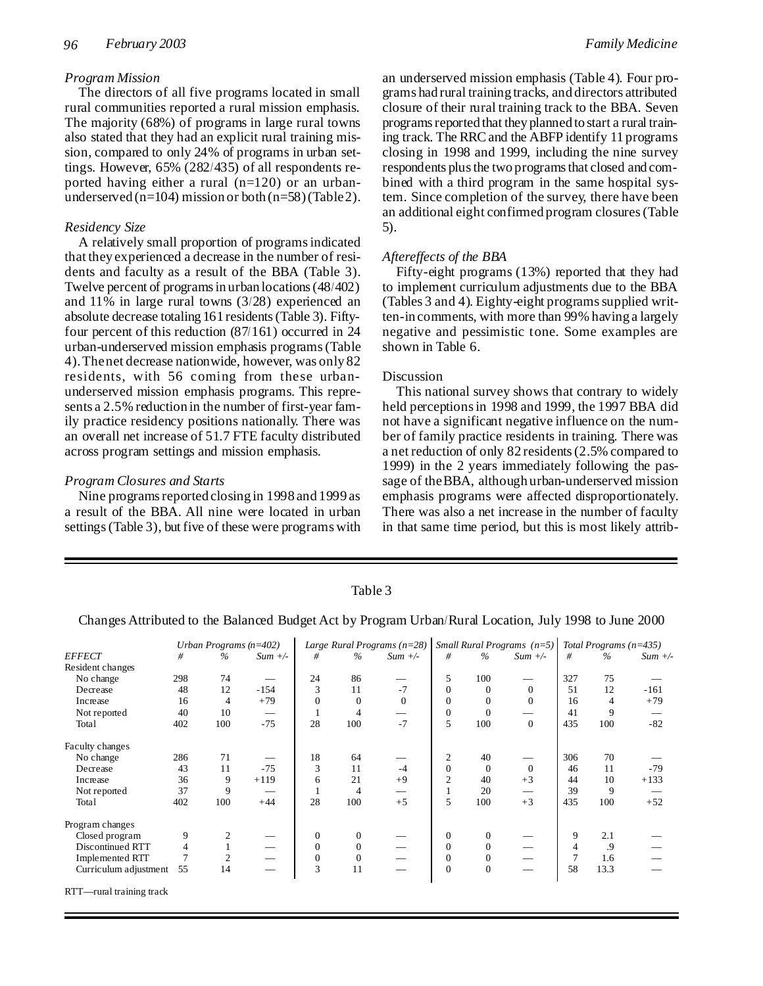# *Program Mission*

The directors of all five programs located in small rural communities reported a rural mission emphasis. The majority (68%) of programs in large rural towns also stated that they had an explicit rural training mission, compared to only 24% of programs in urban settings. However, 65% (282/435) of all respondents reported having either a rural (n=120) or an urbanunderserved (n=104) mission or both (n=58) (Table 2).

# *Residency Size*

A relatively small proportion of programsindicated that they experienced a decrease in the number of residents and faculty as a result of the BBA (Table 3). Twelve percent of programs in urban locations (48/402) and 11% in large rural towns (3/28) experienced an absolute decrease totaling 161 residents(Table 3). Fiftyfour percent of this reduction (87/161) occurred in 24 urban-underserved mission emphasis programs(Table 4).Thenet decrease nationwide, however, was only 82 residents, with 56 coming from these urbanunderserved mission emphasis programs. This represents a 2.5% reduction in the number of first-year family practice residency positions nationally. There was an overall net increase of 51.7 FTE faculty distributed across program settings and mission emphasis.

### *Program Closures and Starts*

Nine programs reported closing in 1998 and 1999 as a result of the BBA. All nine were located in urban settings(Table 3), but five of these were programs with an underserved mission emphasis (Table 4). Four programs had rural training tracks, and directors attributed closure of their rural training track to the BBA. Seven programs reported that they planned to start a rural training track. The RRC and the ABFP identify 11 programs closing in 1998 and 1999, including the nine survey respondents plus the two programs that closed and combined with a third program in the same hospital system. Since completion of the survey, there have been an additional eight confirmed program closures(Table 5).

# *Aftereffects of the BBA*

Fifty-eight programs (13%) reported that they had to implement curriculum adjustments due to the BBA (Tables 3 and 4). Eighty-eight programssupplied written-in comments, with more than 99% having a largely negative and pessimistic tone. Some examples are shown in Table 6.

### Discussion

This national survey shows that contrary to widely held perceptionsin 1998 and 1999, the 1997 BBA did not have a significant negative influence on the number of family practice residents in training. There was a net reduction of only 82 residents(2.5% compared to 1999) in the 2 years immediately following the passage of theBBA, although urban-underserved mission emphasis programs were affected disproportionately. There was also a net increase in the number of faculty in that same time period, but this is most likely attrib-

| Table 3    |  |   |  |   |  |       |  |
|------------|--|---|--|---|--|-------|--|
| $\sqrt{1}$ |  | . |  | ∽ |  | T T 1 |  |

Changes Attributed to the Balanced Budget Act by Program Urban/Rural Location, July 1998 to June 2000

|                          |     | Urban Programs $(n=402)$ |           |                  |              | Large Rural Programs $(n=28)$ |              |              | Small Rural Programs $(n=5)$ |                | Total Programs $(n=435)$ |           |
|--------------------------|-----|--------------------------|-----------|------------------|--------------|-------------------------------|--------------|--------------|------------------------------|----------------|--------------------------|-----------|
| <b>EFFECT</b>            | #   | $\%$                     | $Sum +/-$ | #                | $\%$         | $Sum +/-$                     | #            | $\%$         | $Sum +/-$                    | #              | $\frac{6}{6}$            | $Sum +/-$ |
| Resident changes         |     |                          |           |                  |              |                               |              |              |                              |                |                          |           |
| No change                | 298 | 74                       |           | 24               | 86           |                               | 5            | 100          |                              | 327            | 75                       |           |
| Decrease                 | 48  | 12                       | $-154$    | 3                | 11           | $-7$                          | $\Omega$     | $\Omega$     | $\Omega$                     | 51             | 12                       | $-161$    |
| Increase                 | 16  | $\overline{4}$           | $+79$     | $\Omega$         | $\mathbf{0}$ | $\Omega$                      | $\Omega$     | $\Omega$     | $\overline{0}$               | 16             | 4                        | $+79$     |
| Not reported             | 40  | 10                       |           |                  | 4            |                               | $\Omega$     | $\Omega$     |                              | 41             | 9                        |           |
| Total                    | 402 | 100                      | $-75$     | 28               | 100          | $-7$                          | 5            | 100          | $\theta$                     | 435            | 100                      | $-82$     |
| Faculty changes          |     |                          |           |                  |              |                               |              |              |                              |                |                          |           |
| No change                | 286 | 71                       |           | 18               | 64           |                               | 2            | 40           |                              | 306            | 70                       |           |
| Decrease                 | 43  | 11                       | $-75$     | 3                | 11           | $-4$                          | $\Omega$     | $\Omega$     | $\theta$                     | 46             | 11                       | $-79$     |
| Increase                 | 36  | 9                        | $+119$    | 6                | 21           | $+9$                          | 2            | 40           | $+3$                         | 44             | 10                       | $+133$    |
| Not reported             | 37  | 9                        |           |                  | 4            |                               |              | 20           |                              | 39             | 9                        |           |
| Total                    | 402 | 100                      | $+44$     | 28               | 100          | $+5$                          | 5            | 100          | $+3$                         | 435            | 100                      | $+52$     |
| Program changes          |     |                          |           |                  |              |                               |              |              |                              |                |                          |           |
| Closed program           | 9   |                          |           | $\mathbf{0}$     | $\mathbf{0}$ |                               | $\mathbf{0}$ | $\mathbf{0}$ |                              | 9              | 2.1                      |           |
| Discontinued RTT         | 4   |                          |           | $\mathbf{0}$     | $\mathbf{0}$ |                               | $\mathbf{0}$ | $\mathbf{0}$ |                              | $\overline{4}$ | .9                       |           |
| <b>Implemented RTT</b>   | 7   | 2                        |           | $\boldsymbol{0}$ | $\mathbf{0}$ |                               | $\mathbf{0}$ | $\mathbf{0}$ |                              | $\tau$         | 1.6                      |           |
| Curriculum adjustment    | 55  | 14                       |           | 3                | 11           |                               | $\Omega$     | $\mathbf{0}$ |                              | 58             | 13.3                     |           |
| RTT-rural training track |     |                          |           |                  |              |                               |              |              |                              |                |                          |           |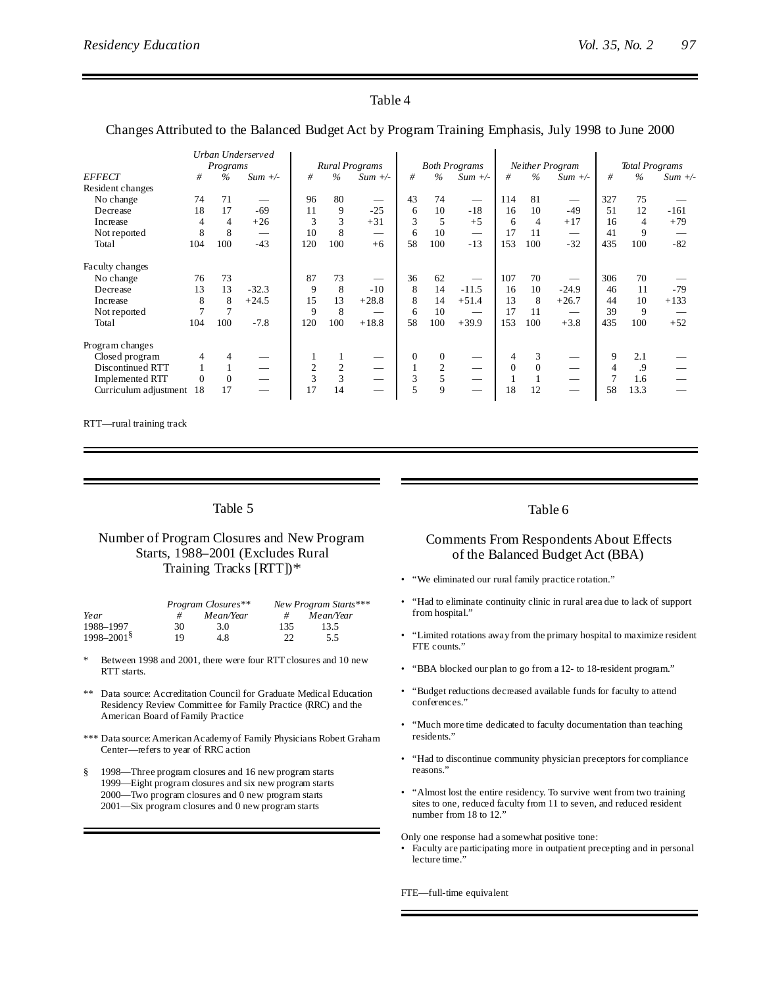# Table 4

# Changes Attributed to the Balanced Budget Act by Program Training Emphasis, July 1998 to June 2000

|                        |          |                | Urban Underserved |                |                |                                |              |                |                               |          |                |                 |     |                       |           |
|------------------------|----------|----------------|-------------------|----------------|----------------|--------------------------------|--------------|----------------|-------------------------------|----------|----------------|-----------------|-----|-----------------------|-----------|
|                        |          | Programs       |                   |                |                | <b>Rural Programs</b>          |              |                | <b>Both Programs</b>          |          |                | Neither Program |     | <b>Total Programs</b> |           |
| <b>EFFECT</b>          | #        | $\frac{0}{0}$  | $Sum +/-$         | #              | $\%$           | $Sum +/-$                      | #            | $\%$           | $Sum +/-$                     | #        | $\%$           | $Sum +/-$       | #   | $\frac{0}{6}$         | $Sum +/-$ |
| Resident changes       |          |                |                   |                |                |                                |              |                |                               |          |                |                 |     |                       |           |
| No change              | 74       | 71             |                   | 96             | 80             | $\overbrace{\phantom{13333}}$  | 43           | 74             | $\hspace{0.05cm}$             | 114      | 81             | $\qquad \qquad$ | 327 | 75                    |           |
| Decrease               | 18       | 17             | $-69$             | 11             | 9              | $-25$                          | 6            | 10             | $-18$                         | 16       | 10             | $-49$           | 51  | 12                    | $-161$    |
| Increase               | 4        | $\overline{4}$ | $+26$             | 3              | 3              | $+31$                          | 3            | 5              | $+5$                          | 6        | $\overline{4}$ | $+17$           | 16  | 4                     | $+79$     |
| Not reported           | 8        | 8              |                   | 10             | 8              | $\overbrace{\hspace{25mm}}^{}$ | 6            | 10             | $\overbrace{\phantom{aaaaa}}$ | 17       | 11             |                 | 41  | 9                     |           |
| Total                  | 104      | 100            | $-43$             | 120            | 100            | $+6$                           | 58           | 100            | $-13$                         | 153      | 100            | $-32$           | 435 | 100                   | $-82$     |
| Faculty changes        |          |                |                   |                |                |                                |              |                |                               |          |                |                 |     |                       |           |
| No change              | 76       | 73             |                   | 87             | 73             | $\overbrace{\phantom{aaaaa}}$  | 36           | 62             |                               | 107      | 70             |                 | 306 | 70                    |           |
| Decrease               | 13       | 13             | $-32.3$           | 9              | 8              | $-10$                          | 8            | 14             | $-11.5$                       | 16       | 10             | $-24.9$         | 46  | 11                    | $-79$     |
| Increase               | 8        | 8              | $+24.5$           | 15             | 13             | $+28.8$                        | 8            | 14             | $+51.4$                       | 13       | 8              | $+26.7$         | 44  | 10                    | $+133$    |
| Not reported           |          |                |                   | 9              | 8              |                                | 6            | 10             |                               | 17       | 11             |                 | 39  | 9                     |           |
| Total                  | 104      | 100            | $-7.8$            | 120            | 100            | $+18.8$                        | 58           | 100            | $+39.9$                       | 153      | 100            | $+3.8$          | 435 | 100                   | $+52$     |
| Program changes        |          |                |                   |                |                |                                |              |                |                               |          |                |                 |     |                       |           |
| Closed program         | 4        |                |                   |                |                |                                | $\mathbf{0}$ | $\theta$       |                               | 4        | 3              |                 | 9   | 2.1                   |           |
| Discontinued RTT       |          |                |                   | $\overline{c}$ | $\overline{2}$ |                                |              | $\overline{c}$ |                               | $\Omega$ | $\Omega$       |                 | 4   | .9                    |           |
| <b>Implemented RTT</b> | $\theta$ | $\Omega$       |                   | 3              | 3              |                                | 3            | 5              |                               |          |                |                 | 7   | 1.6                   |           |
| Curriculum adjustment  | 18       | 17             |                   | 17             | 14             |                                | 5            | 9              |                               | 18       | 12             |                 | 58  | 13.3                  |           |

RTT—rural training track

# Table 5

# Number of Program Closures and New Program Starts, 1988–2001 (Excludes Rural Training Tracks [RTT])\*

|                            |    | Program Closures** | New Program Starts*** |           |  |  |
|----------------------------|----|--------------------|-----------------------|-----------|--|--|
| Year                       |    | Mean/Year          | #                     | Mean/Year |  |  |
| 1988-1997                  | 30 | 3.0                | 135                   | 13.5      |  |  |
| $1998 - 2001$ <sup>§</sup> | 19 | 4.8                | 22                    | 5.5       |  |  |

- Between 1998 and 2001, there were four RTT closures and 10 new RTT starts.
- Data source: Accreditation Council for Graduate Medical Education Residency Review Committee for Family Practice (RRC) and the American Board of Family Practice
- \*\*\* Data source:AmericanAcademyof Family Physicians Robert Graham Center—refers to year of RRC action
- § 1998—Three program closures and 16 new program starts 1999—Eight program closures and six new program starts 2000—Two program closures and 0 new program starts 2001—Six program closures and 0 new program starts

#### Table 6

# Comments From Respondents About Effects of the Balanced Budget Act (BBA)

- "We eliminated our rural family practice rotation."
- "Had to eliminate continuity clinic in rural area due to lack of support from hospital."
- "Limited rotations awayfrom the primary hospital to maximize resident FTE counts."
- "BBA blocked our plan to go from a 12- to 18-resident program."
- "Budget reductions decreased available funds for faculty to attend conferences."
- "Much more time dedicated to faculty documentation than teaching residents."
- "Had to discontinue community physician preceptors for compliance reasons."
- "Almost lost the entire residency. To survive went from two training sites to one, reduced faculty from 11 to seven, and reduced resident number from 18 to 12."

Only one response had a somewhat positive tone:

• Faculty are participating more in outpatient precepting and in personal lecture time."

FTE—full-time equivalent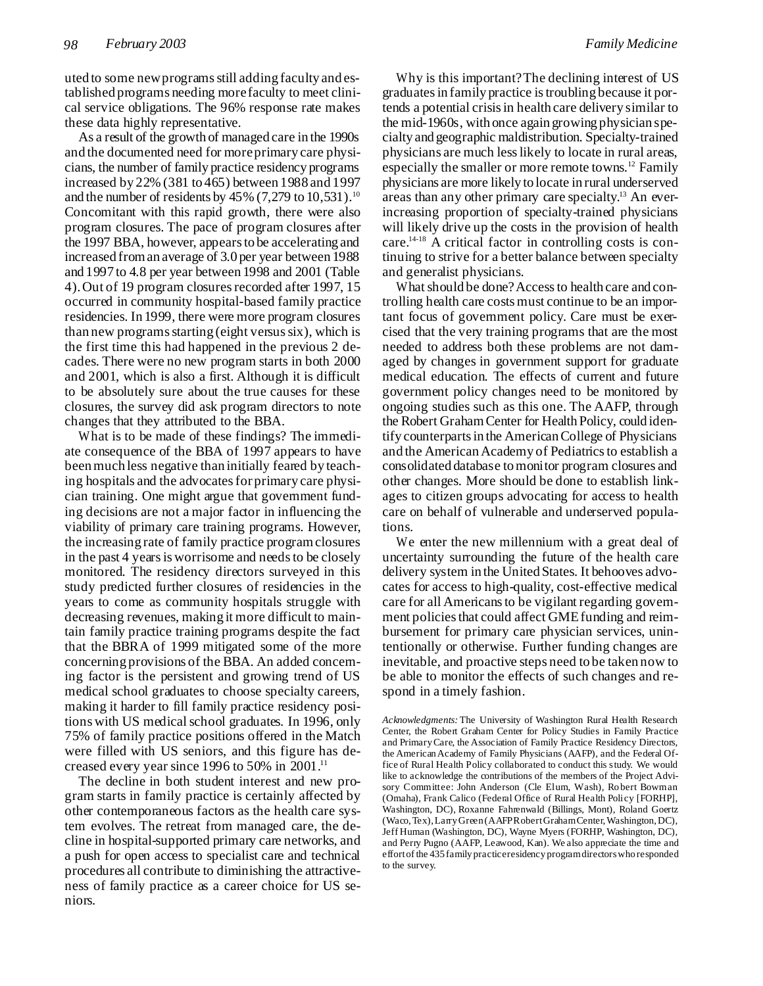uted to some newprogramsstill adding faculty and established programs needing morefaculty to meet clinical service obligations. The 96% response rate makes these data highly representative.

As a result of the growth of managed care in the 1990s and the documented need for moreprimary care physicians, the number of family practice residency programs increased by 22% (381 to 465) between 1988 and 1997 and the number of residents by  $45\%$  (7,279 to 10,531).<sup>10</sup> Concomitant with this rapid growth, there were also program closures. The pace of program closures after the 1997 BBA, however, appearsto be accelerating and increased froman average of 3.0 per year between 1988 and 1997 to 4.8 per year between 1998 and 2001 (Table 4).Out of 19 program closuresrecorded after 1997, 15 occurred in community hospital-based family practice residencies. In 1999, there were more program closures than new programs starting (eight versus six), which is the first time this had happened in the previous 2 decades. There were no new program starts in both 2000 and 2001, which is also a first. Although it is difficult to be absolutely sure about the true causes for these closures, the survey did ask program directors to note changes that they attributed to the BBA.

What is to be made of these findings? The immediate consequence of the BBA of 1997 appears to have beenmuch less negative than initially feared by teaching hospitals and the advocates for primary care physician training. One might argue that government funding decisions are not a major factor in influencing the viability of primary care training programs. However, the increasing rate of family practice programclosures in the past 4 yearsis worrisome and needsto be closely monitored. The residency directors surveyed in this study predicted further closures of residencies in the years to come as community hospitals struggle with decreasing revenues, making it more difficult to maintain family practice training programs despite the fact that the BBRA of 1999 mitigated some of the more concerning provisions of the BBA. An added concerning factor is the persistent and growing trend of US medical school graduates to choose specialty careers, making it harder to fill family practice residency positions with US medical school graduates. In 1996, only 75% of family practice positions offered in the Match were filled with US seniors, and this figure has decreased every year since 1996 to 50% in 2001. 11

The decline in both student interest and new program starts in family practice is certainly affected by other contemporaneous factors as the health care system evolves. The retreat from managed care, the decline in hospital-supported primary care networks, and a push for open access to specialist care and technical procedures all contribute to diminishing the attractiveness of family practice as a career choice for US seniors.

Why is this important?The declining interest of US graduatesin family practice istroubling because it portends a potential crisisin health care delivery similar to the mid-1960s, with once again growing physician specialty and geographic maldistribution. Specialty-trained physicians are much lesslikely to locate in rural areas, especially the smaller or more remote towns.<sup>12</sup> Family physicians are more likely to locate in rural underserved areas than any other primary care specialty. <sup>13</sup> An everincreasing proportion of specialty-trained physicians will likely drive up the costs in the provision of health care. 14-18 A critical factor in controlling costs is continuing to strive for a better balance between specialty and generalist physicians.

What should be done? Access to health care and controlling health care costs must continue to be an important focus of government policy. Care must be exercised that the very training programs that are the most needed to address both these problems are not damaged by changes in government support for graduate medical education. The effects of current and future government policy changes need to be monitored by ongoing studies such as this one. The AAFP, through the Robert Graham Center for Health Policy, could identify counterparts in the American College of Physicians and the American Academy of Pediatrics to establish a consolidated database tomonitor program closures and other changes. More should be done to establish linkages to citizen groups advocating for access to health care on behalf of vulnerable and underserved populations.

We enter the new millennium with a great deal of uncertainty surrounding the future of the health care delivery system in the UnitedStates. It behooves advocates for access to high-quality, cost-effective medical care for all Americans to be vigilant regarding government policies that could affect GME funding and reimbursement for primary care physician services, unintentionally or otherwise. Further funding changes are inevitable, and proactive steps need to be taken now to be able to monitor the effects of such changes and respond in a timely fashion.

*Acknowledgments:* The University of Washington Rural Health Research Center, the Robert Graham Center for Policy Studies in Family Practice and PrimaryCare, the Association of Family Practice Residency Directors, the AmericanAcademy of Family Physicians (AAFP), and the Federal Office of Rural Health Policy collaborated to conduct this study. We would like to acknowledge the contributions of the members of the Project Advisory Committee: John Anderson (Cle Elum, Wash), Robert Bowman (Omaha), Frank Calico (Federal Office of Rural Health Policy [FORHP], Washington, DC), Roxanne Fahrenwald (Billings, Mont), Roland Goertz (Waco,Tex),LarryGreen(AAFPRobertGrahamCenter,Washington,DC), Jeff Human (Washington, DC), Wayne Myers (FORHP, Washington, DC), and Perry Pugno (AAFP, Leawood, Kan). We also appreciate the time and effortof the 435familypracticeresidencyprogramdirectorswhoresponded to the survey.